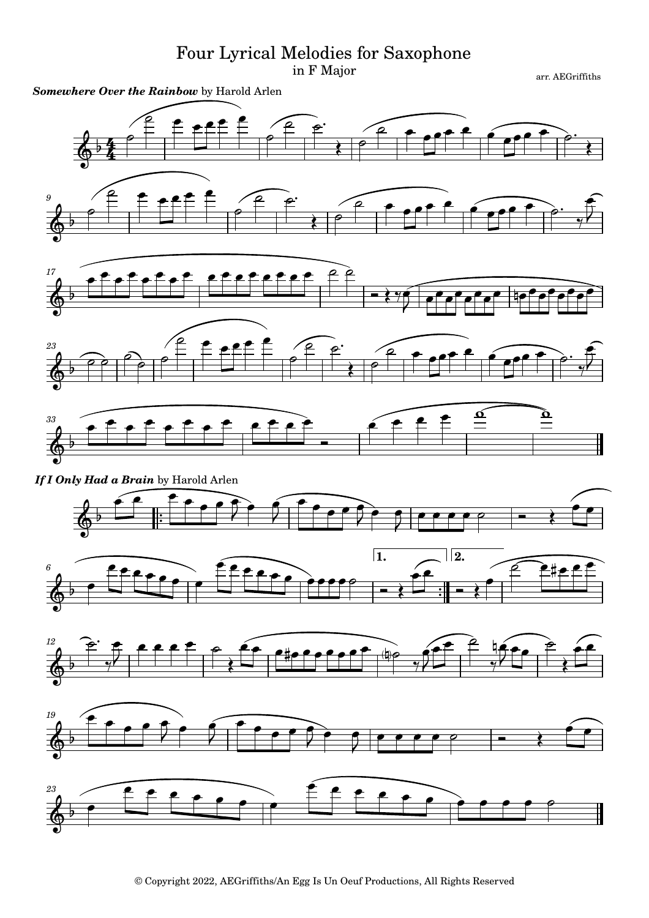## Four Lyrical Melodies for Saxophone

in F Major

arr. AEGriffiths